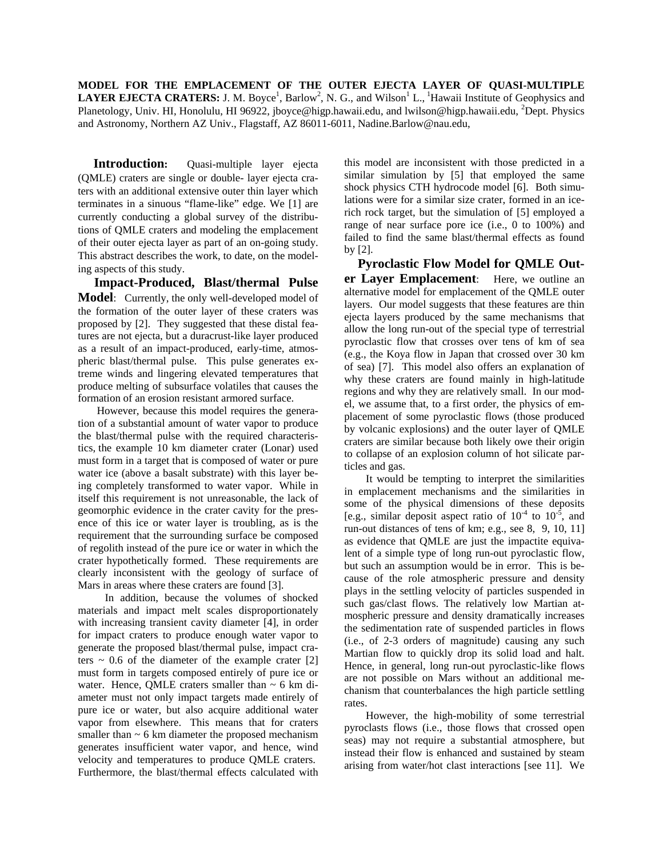**MODEL FOR THE EMPLACEMENT OF THE OUTER EJECTA LAYER OF QUASI-MULTIPLE LAYER EJECTA CRATERS:** J. M. Boyce<sup>1</sup>, Barlow<sup>2</sup>, N. G., and Wilson<sup>1</sup> L., <sup>1</sup>Hawaii Institute of Geophysics and Planetology, Univ. HI, Honolulu, HI 96922, jboyce@higp.hawaii.edu, and lwilson@higp.hawaii.edu, <sup>2</sup>Dept. Physics and Astronomy, Northern AZ Univ., Flagstaff, AZ 86011-6011, [Nadine.Barlow@nau.edu,](mailto:Nadine.Barlow@nau.edu)

**Introduction:** Quasi-multiple layer ejecta (QMLE) craters are single or double- layer ejecta craters with an additional extensive outer thin layer which terminates in a sinuous "flame-like" edge. We [1] are currently conducting a global survey of the distributions of QMLE craters and modeling the emplacement of their outer ejecta layer as part of an on-going study. This abstract describes the work, to date, on the modeling aspects of this study.

 **Impact-Produced, Blast/thermal Pulse Model**: Currently, the only well-developed model of the formation of the outer layer of these craters was proposed by [2]. They suggested that these distal features are not ejecta, but a duracrust-like layer produced as a result of an impact-produced, early-time, atmospheric blast/thermal pulse. This pulse generates extreme winds and lingering elevated temperatures that produce melting of subsurface volatiles that causes the formation of an erosion resistant armored surface.

 However, because this model requires the generation of a substantial amount of water vapor to produce the blast/thermal pulse with the required characteristics, the example 10 km diameter crater (Lonar) used must form in a target that is composed of water or pure water ice (above a basalt substrate) with this layer being completely transformed to water vapor. While in itself this requirement is not unreasonable, the lack of geomorphic evidence in the crater cavity for the presence of this ice or water layer is troubling, as is the requirement that the surrounding surface be composed of regolith instead of the pure ice or water in which the crater hypothetically formed. These requirements are clearly inconsistent with the geology of surface of Mars in areas where these craters are found [3].

 In addition, because the volumes of shocked materials and impact melt scales disproportionately with increasing transient cavity diameter [4], in order for impact craters to produce enough water vapor to generate the proposed blast/thermal pulse, impact craters  $\sim$  0.6 of the diameter of the example crater [2] must form in targets composed entirely of pure ice or water. Hence, QMLE craters smaller than  $\sim$  6 km diameter must not only impact targets made entirely of pure ice or water, but also acquire additional water vapor from elsewhere. This means that for craters smaller than  $\sim$  6 km diameter the proposed mechanism generates insufficient water vapor, and hence, wind velocity and temperatures to produce QMLE craters. Furthermore, the blast/thermal effects calculated with

this model are inconsistent with those predicted in a similar simulation by [5] that employed the same shock physics CTH hydrocode model [6]. Both simulations were for a similar size crater, formed in an icerich rock target, but the simulation of [5] employed a range of near surface pore ice (i.e., 0 to 100%) and failed to find the same blast/thermal effects as found by [2].

 **Pyroclastic Flow Model for QMLE Outer Layer Emplacement**: Here, we outline an alternative model for emplacement of the QMLE outer layers. Our model suggests that these features are thin ejecta layers produced by the same mechanisms that allow the long run-out of the special type of terrestrial pyroclastic flow that crosses over tens of km of sea (e.g., the Koya flow in Japan that crossed over 30 km of sea) [7]. This model also offers an explanation of why these craters are found mainly in high-latitude regions and why they are relatively small. In our model, we assume that, to a first order, the physics of emplacement of some pyroclastic flows (those produced by volcanic explosions) and the outer layer of QMLE craters are similar because both likely owe their origin to collapse of an explosion column of hot silicate particles and gas.

 It would be tempting to interpret the similarities in emplacement mechanisms and the similarities in some of the physical dimensions of these deposits [e.g., similar deposit aspect ratio of  $10^{-4}$  to  $10^{-5}$ , and run-out distances of tens of km; e.g., see 8, 9, 10, 11] as evidence that QMLE are just the impactite equivalent of a simple type of long run-out pyroclastic flow, but such an assumption would be in error. This is because of the role atmospheric pressure and density plays in the settling velocity of particles suspended in such gas/clast flows. The relatively low Martian atmospheric pressure and density dramatically increases the sedimentation rate of suspended particles in flows (i.e., of 2-3 orders of magnitude) causing any such Martian flow to quickly drop its solid load and halt. Hence, in general, long run-out pyroclastic-like flows are not possible on Mars without an additional mechanism that counterbalances the high particle settling rates.

 However, the high-mobility of some terrestrial pyroclasts flows (i.e., those flows that crossed open seas) may not require a substantial atmosphere, but instead their flow is enhanced and sustained by steam arising from water/hot clast interactions [see 11]. We